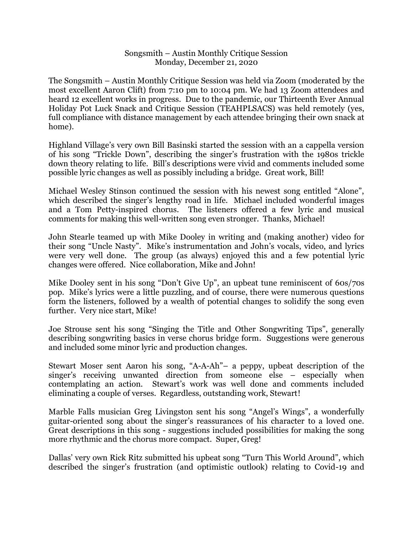## Songsmith – Austin Monthly Critique Session Monday, December 21, 2020

The Songsmith – Austin Monthly Critique Session was held via Zoom (moderated by the most excellent Aaron Clift) from 7:10 pm to 10:04 pm. We had 13 Zoom attendees and heard 12 excellent works in progress. Due to the pandemic, our Thirteenth Ever Annual Holiday Pot Luck Snack and Critique Session (TEAHPLSACS) was held remotely (yes, full compliance with distance management by each attendee bringing their own snack at home).

Highland Village's very own Bill Basinski started the session with an a cappella version of his song "Trickle Down", describing the singer's frustration with the 1980s trickle down theory relating to life. Bill's descriptions were vivid and comments included some possible lyric changes as well as possibly including a bridge. Great work, Bill!

Michael Wesley Stinson continued the session with his newest song entitled "Alone", which described the singer's lengthy road in life. Michael included wonderful images and a Tom Petty-inspired chorus. The listeners offered a few lyric and musical comments for making this well-written song even stronger. Thanks, Michael!

John Stearle teamed up with Mike Dooley in writing and (making another) video for their song "Uncle Nasty". Mike's instrumentation and John's vocals, video, and lyrics were very well done. The group (as always) enjoyed this and a few potential lyric changes were offered. Nice collaboration, Mike and John!

Mike Dooley sent in his song "Don't Give Up", an upbeat tune reminiscent of 60s/70s pop. Mike's lyrics were a little puzzling, and of course, there were numerous questions form the listeners, followed by a wealth of potential changes to solidify the song even further. Very nice start, Mike!

Joe Strouse sent his song "Singing the Title and Other Songwriting Tips", generally describing songwriting basics in verse chorus bridge form. Suggestions were generous and included some minor lyric and production changes.

Stewart Moser sent Aaron his song, "A-A-Ah"– a peppy, upbeat description of the singer's receiving unwanted direction from someone else – especially when contemplating an action. Stewart's work was well done and comments included eliminating a couple of verses. Regardless, outstanding work, Stewart!

Marble Falls musician Greg Livingston sent his song "Angel's Wings", a wonderfully guitar-oriented song about the singer's reassurances of his character to a loved one. Great descriptions in this song - suggestions included possibilities for making the song more rhythmic and the chorus more compact. Super, Greg!

Dallas' very own Rick Ritz submitted his upbeat song "Turn This World Around", which described the singer's frustration (and optimistic outlook) relating to Covid-19 and